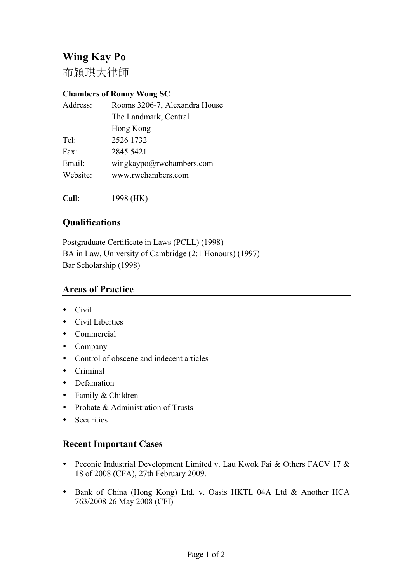布穎琪大律師

## **Chambers of Ronny Wong SC**

| Address: | Rooms 3206-7, Alexandra House |
|----------|-------------------------------|
|          | The Landmark, Central         |
|          | Hong Kong                     |
| Tel:     | 2526 1732                     |
| Fax:     | 2845 5421                     |
| Email:   | wingkaypo@rwchambers.com      |
| Website: | www.rwchambers.com            |
|          |                               |

**Call**: 1998 (HK)

## **Qualifications**

Postgraduate Certificate in Laws (PCLL) (1998) BA in Law, University of Cambridge (2:1 Honours) (1997) Bar Scholarship (1998)

## **Areas of Practice**

- Civil
- Civil Liberties
- Commercial
- Company
- Control of obscene and indecent articles
- Criminal
- Defamation
- Family & Children
- Probate & Administration of Trusts
- Securities

## **Recent Important Cases**

- Peconic Industrial Development Limited v. Lau Kwok Fai & Others FACV 17 & 18 of 2008 (CFA), 27th February 2009.
- Bank of China (Hong Kong) Ltd. v. Oasis HKTL 04A Ltd & Another HCA 763/2008 26 May 2008 (CFI)